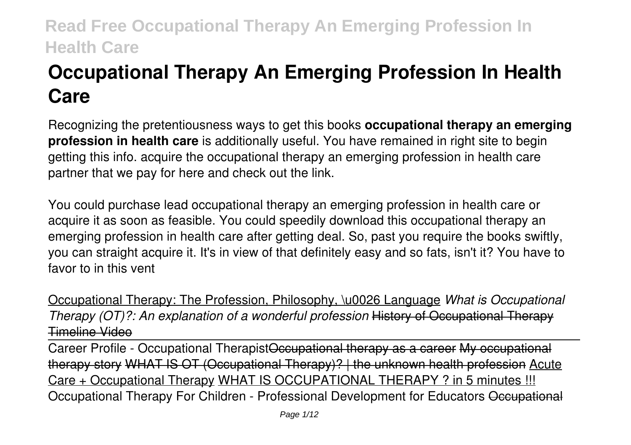# **Occupational Therapy An Emerging Profession In Health Care**

Recognizing the pretentiousness ways to get this books **occupational therapy an emerging profession in health care** is additionally useful. You have remained in right site to begin getting this info. acquire the occupational therapy an emerging profession in health care partner that we pay for here and check out the link.

You could purchase lead occupational therapy an emerging profession in health care or acquire it as soon as feasible. You could speedily download this occupational therapy an emerging profession in health care after getting deal. So, past you require the books swiftly, you can straight acquire it. It's in view of that definitely easy and so fats, isn't it? You have to favor to in this vent

Occupational Therapy: The Profession, Philosophy, \u0026 Language *What is Occupational Therapy (OT)?: An explanation of a wonderful profession* History of Occupational Therapy Timeline Video

Career Profile - Occupational TherapistOccupational therapy as a career My occupational therapy story WHAT IS OT (Occupational Therapy)? | the unknown health profession Acute Care + Occupational Therapy WHAT IS OCCUPATIONAL THERAPY ? in 5 minutes !!! Occupational Therapy For Children - Professional Development for Educators Occupational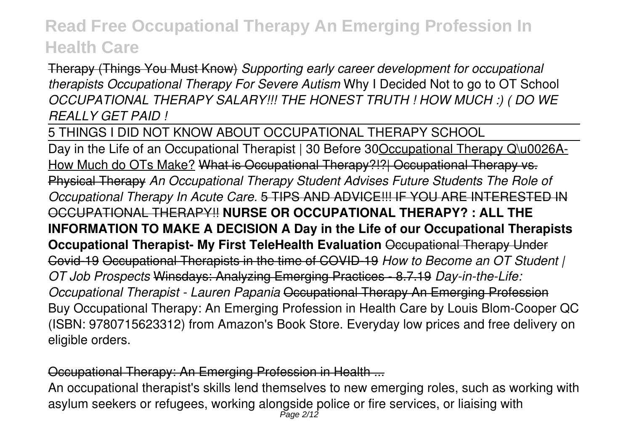Therapy (Things You Must Know) *Supporting early career development for occupational therapists Occupational Therapy For Severe Autism* Why I Decided Not to go to OT School *OCCUPATIONAL THERAPY SALARY!!! THE HONEST TRUTH ! HOW MUCH :) ( DO WE REALLY GET PAID !*

5 THINGS I DID NOT KNOW ABOUT OCCUPATIONAL THERAPY SCHOOL

Day in the Life of an Occupational Therapist | 30 Before 30 Occupational Therapy Q\u0026A-How Much do OTs Make? What is Occupational Therapy?!?| Occupational Therapy vs. Physical Therapy *An Occupational Therapy Student Advises Future Students The Role of Occupational Therapy In Acute Care.* 5 TIPS AND ADVICE!!! IF YOU ARE INTERESTED IN OCCUPATIONAL THERAPY!! **NURSE OR OCCUPATIONAL THERAPY? : ALL THE INFORMATION TO MAKE A DECISION A Day in the Life of our Occupational Therapists Occupational Therapist- My First TeleHealth Evaluation** Occupational Therapy Under Covid-19 Occupational Therapists in the time of COVID-19 *How to Become an OT Student | OT Job Prospects* Winsdays: Analyzing Emerging Practices - 8.7.19 *Day-in-the-Life: Occupational Therapist - Lauren Papania* Occupational Therapy An Emerging Profession Buy Occupational Therapy: An Emerging Profession in Health Care by Louis Blom-Cooper QC (ISBN: 9780715623312) from Amazon's Book Store. Everyday low prices and free delivery on eligible orders.

Occupational Therapy: An Emerging Profession in Health ...

An occupational therapist's skills lend themselves to new emerging roles, such as working with asylum seekers or refugees, working alongside police or fire services, or liaising with  $P$ age 2/12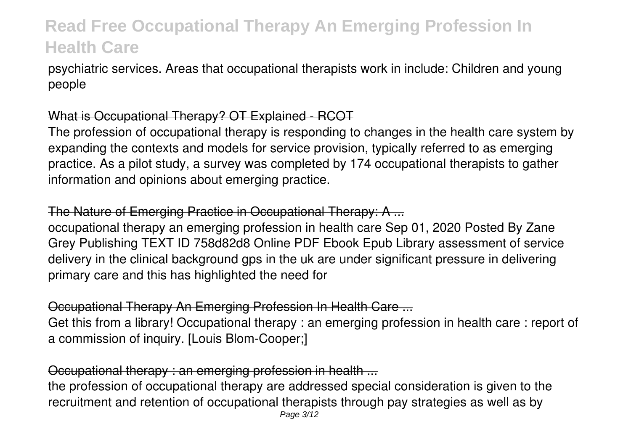psychiatric services. Areas that occupational therapists work in include: Children and young people

#### What is Occupational Therapy? OT Explained - RCOT

The profession of occupational therapy is responding to changes in the health care system by expanding the contexts and models for service provision, typically referred to as emerging practice. As a pilot study, a survey was completed by 174 occupational therapists to gather information and opinions about emerging practice.

### The Nature of Emerging Practice in Occupational Therapy: A ...

occupational therapy an emerging profession in health care Sep 01, 2020 Posted By Zane Grey Publishing TEXT ID 758d82d8 Online PDF Ebook Epub Library assessment of service delivery in the clinical background gps in the uk are under significant pressure in delivering primary care and this has highlighted the need for

### Occupational Therapy An Emerging Profession In Health Care ...

Get this from a library! Occupational therapy : an emerging profession in health care : report of a commission of inquiry. [Louis Blom-Cooper;]

### Occupational therapy : an emerging profession in health ...

the profession of occupational therapy are addressed special consideration is given to the recruitment and retention of occupational therapists through pay strategies as well as by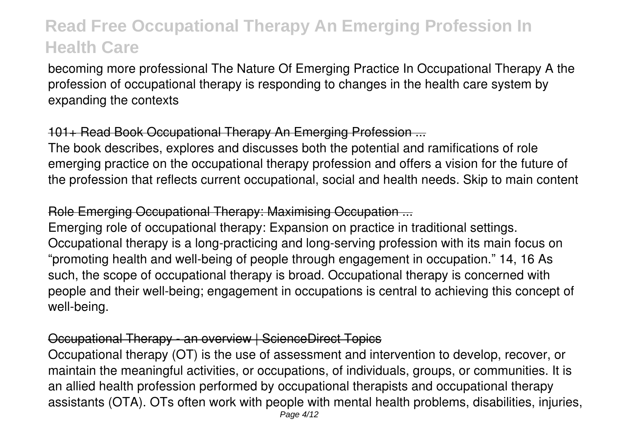becoming more professional The Nature Of Emerging Practice In Occupational Therapy A the profession of occupational therapy is responding to changes in the health care system by expanding the contexts

### 101+ Read Book Occupational Therapy An Emerging Profession ...

The book describes, explores and discusses both the potential and ramifications of role emerging practice on the occupational therapy profession and offers a vision for the future of the profession that reflects current occupational, social and health needs. Skip to main content

#### Role Emerging Occupational Therapy: Maximising Occupation ...

Emerging role of occupational therapy: Expansion on practice in traditional settings. Occupational therapy is a long-practicing and long-serving profession with its main focus on "promoting health and well-being of people through engagement in occupation." 14, 16 As such, the scope of occupational therapy is broad. Occupational therapy is concerned with people and their well-being; engagement in occupations is central to achieving this concept of well-being.

### Occupational Therapy - an overview | ScienceDirect Topics

Occupational therapy (OT) is the use of assessment and intervention to develop, recover, or maintain the meaningful activities, or occupations, of individuals, groups, or communities. It is an allied health profession performed by occupational therapists and occupational therapy assistants (OTA). OTs often work with people with mental health problems, disabilities, injuries,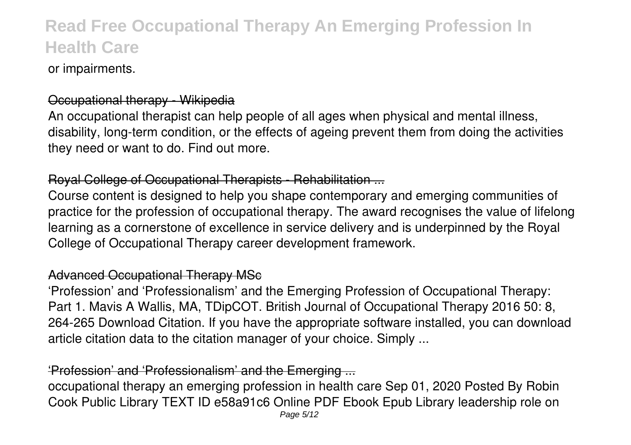or impairments.

#### Occupational therapy - Wikipedia

An occupational therapist can help people of all ages when physical and mental illness, disability, long-term condition, or the effects of ageing prevent them from doing the activities they need or want to do. Find out more.

### Royal College of Occupational Therapists - Rehabilitation ...

Course content is designed to help you shape contemporary and emerging communities of practice for the profession of occupational therapy. The award recognises the value of lifelong learning as a cornerstone of excellence in service delivery and is underpinned by the Royal College of Occupational Therapy career development framework.

#### Advanced Occupational Therapy MSc

'Profession' and 'Professionalism' and the Emerging Profession of Occupational Therapy: Part 1. Mavis A Wallis, MA, TDipCOT. British Journal of Occupational Therapy 2016 50: 8, 264-265 Download Citation. If you have the appropriate software installed, you can download article citation data to the citation manager of your choice. Simply ...

### 'Profession' and 'Professionalism' and the Emerging ...

occupational therapy an emerging profession in health care Sep 01, 2020 Posted By Robin Cook Public Library TEXT ID e58a91c6 Online PDF Ebook Epub Library leadership role on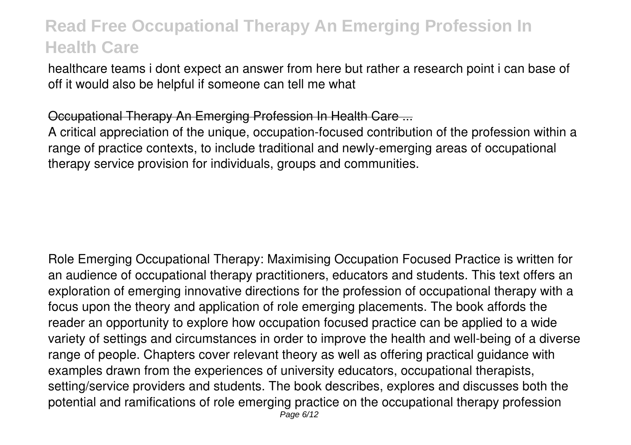healthcare teams i dont expect an answer from here but rather a research point i can base of off it would also be helpful if someone can tell me what

#### Occupational Therapy An Emerging Profession In Health Care ...

A critical appreciation of the unique, occupation-focused contribution of the profession within a range of practice contexts, to include traditional and newly-emerging areas of occupational therapy service provision for individuals, groups and communities.

Role Emerging Occupational Therapy: Maximising Occupation Focused Practice is written for an audience of occupational therapy practitioners, educators and students. This text offers an exploration of emerging innovative directions for the profession of occupational therapy with a focus upon the theory and application of role emerging placements. The book affords the reader an opportunity to explore how occupation focused practice can be applied to a wide variety of settings and circumstances in order to improve the health and well-being of a diverse range of people. Chapters cover relevant theory as well as offering practical guidance with examples drawn from the experiences of university educators, occupational therapists, setting/service providers and students. The book describes, explores and discusses both the potential and ramifications of role emerging practice on the occupational therapy profession Page 6/12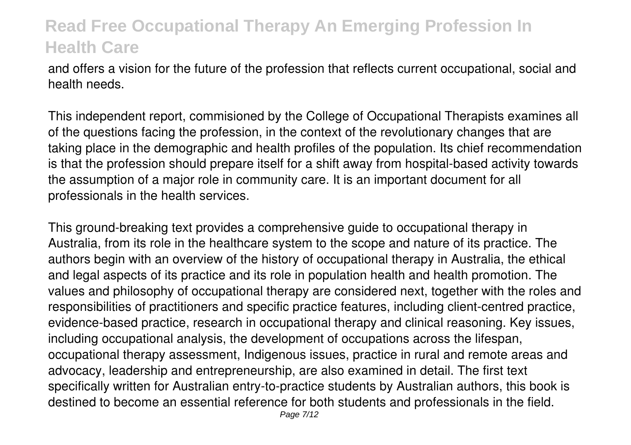and offers a vision for the future of the profession that reflects current occupational, social and health needs.

This independent report, commisioned by the College of Occupational Therapists examines all of the questions facing the profession, in the context of the revolutionary changes that are taking place in the demographic and health profiles of the population. Its chief recommendation is that the profession should prepare itself for a shift away from hospital-based activity towards the assumption of a major role in community care. It is an important document for all professionals in the health services.

This ground-breaking text provides a comprehensive guide to occupational therapy in Australia, from its role in the healthcare system to the scope and nature of its practice. The authors begin with an overview of the history of occupational therapy in Australia, the ethical and legal aspects of its practice and its role in population health and health promotion. The values and philosophy of occupational therapy are considered next, together with the roles and responsibilities of practitioners and specific practice features, including client-centred practice, evidence-based practice, research in occupational therapy and clinical reasoning. Key issues, including occupational analysis, the development of occupations across the lifespan, occupational therapy assessment, Indigenous issues, practice in rural and remote areas and advocacy, leadership and entrepreneurship, are also examined in detail. The first text specifically written for Australian entry-to-practice students by Australian authors, this book is destined to become an essential reference for both students and professionals in the field.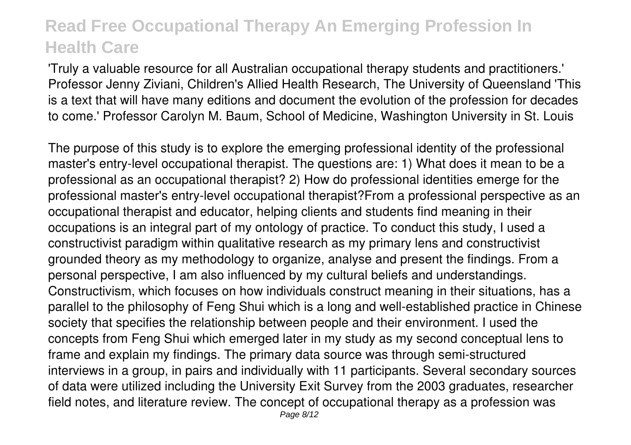'Truly a valuable resource for all Australian occupational therapy students and practitioners.' Professor Jenny Ziviani, Children's Allied Health Research, The University of Queensland 'This is a text that will have many editions and document the evolution of the profession for decades to come.' Professor Carolyn M. Baum, School of Medicine, Washington University in St. Louis

The purpose of this study is to explore the emerging professional identity of the professional master's entry-level occupational therapist. The questions are: 1) What does it mean to be a professional as an occupational therapist? 2) How do professional identities emerge for the professional master's entry-level occupational therapist?From a professional perspective as an occupational therapist and educator, helping clients and students find meaning in their occupations is an integral part of my ontology of practice. To conduct this study, I used a constructivist paradigm within qualitative research as my primary lens and constructivist grounded theory as my methodology to organize, analyse and present the findings. From a personal perspective, I am also influenced by my cultural beliefs and understandings. Constructivism, which focuses on how individuals construct meaning in their situations, has a parallel to the philosophy of Feng Shui which is a long and well-established practice in Chinese society that specifies the relationship between people and their environment. I used the concepts from Feng Shui which emerged later in my study as my second conceptual lens to frame and explain my findings. The primary data source was through semi-structured interviews in a group, in pairs and individually with 11 participants. Several secondary sources of data were utilized including the University Exit Survey from the 2003 graduates, researcher field notes, and literature review. The concept of occupational therapy as a profession was Page 8/12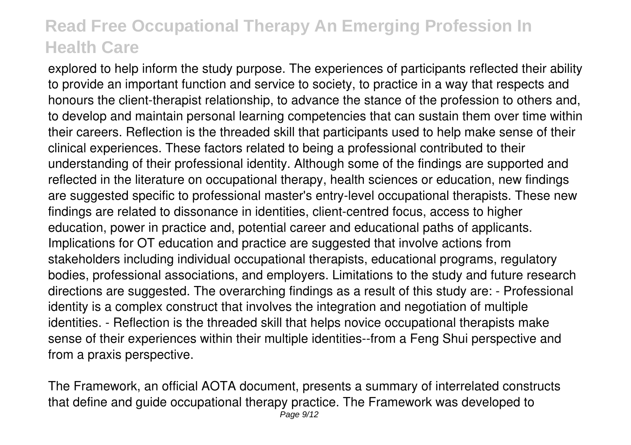explored to help inform the study purpose. The experiences of participants reflected their ability to provide an important function and service to society, to practice in a way that respects and honours the client-therapist relationship, to advance the stance of the profession to others and, to develop and maintain personal learning competencies that can sustain them over time within their careers. Reflection is the threaded skill that participants used to help make sense of their clinical experiences. These factors related to being a professional contributed to their understanding of their professional identity. Although some of the findings are supported and reflected in the literature on occupational therapy, health sciences or education, new findings are suggested specific to professional master's entry-level occupational therapists. These new findings are related to dissonance in identities, client-centred focus, access to higher education, power in practice and, potential career and educational paths of applicants. Implications for OT education and practice are suggested that involve actions from stakeholders including individual occupational therapists, educational programs, regulatory bodies, professional associations, and employers. Limitations to the study and future research directions are suggested. The overarching findings as a result of this study are: - Professional identity is a complex construct that involves the integration and negotiation of multiple identities. - Reflection is the threaded skill that helps novice occupational therapists make sense of their experiences within their multiple identities--from a Feng Shui perspective and from a praxis perspective.

The Framework, an official AOTA document, presents a summary of interrelated constructs that define and guide occupational therapy practice. The Framework was developed to Page 9/12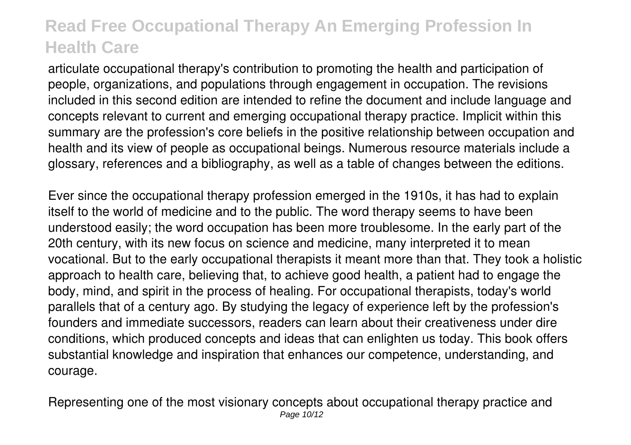articulate occupational therapy's contribution to promoting the health and participation of people, organizations, and populations through engagement in occupation. The revisions included in this second edition are intended to refine the document and include language and concepts relevant to current and emerging occupational therapy practice. Implicit within this summary are the profession's core beliefs in the positive relationship between occupation and health and its view of people as occupational beings. Numerous resource materials include a glossary, references and a bibliography, as well as a table of changes between the editions.

Ever since the occupational therapy profession emerged in the 1910s, it has had to explain itself to the world of medicine and to the public. The word therapy seems to have been understood easily; the word occupation has been more troublesome. In the early part of the 20th century, with its new focus on science and medicine, many interpreted it to mean vocational. But to the early occupational therapists it meant more than that. They took a holistic approach to health care, believing that, to achieve good health, a patient had to engage the body, mind, and spirit in the process of healing. For occupational therapists, today's world parallels that of a century ago. By studying the legacy of experience left by the profession's founders and immediate successors, readers can learn about their creativeness under dire conditions, which produced concepts and ideas that can enlighten us today. This book offers substantial knowledge and inspiration that enhances our competence, understanding, and courage.

Representing one of the most visionary concepts about occupational therapy practice and Page 10/12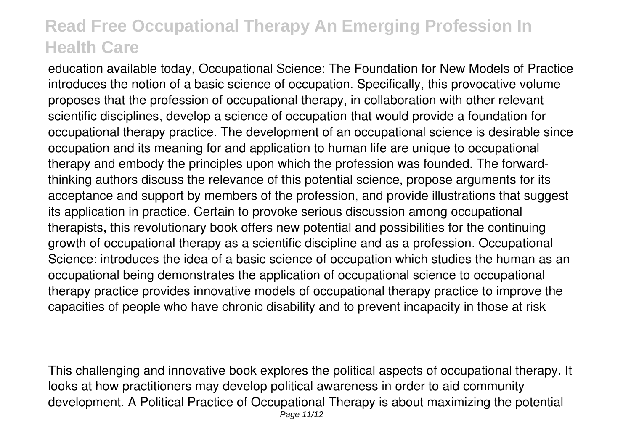education available today, Occupational Science: The Foundation for New Models of Practice introduces the notion of a basic science of occupation. Specifically, this provocative volume proposes that the profession of occupational therapy, in collaboration with other relevant scientific disciplines, develop a science of occupation that would provide a foundation for occupational therapy practice. The development of an occupational science is desirable since occupation and its meaning for and application to human life are unique to occupational therapy and embody the principles upon which the profession was founded. The forwardthinking authors discuss the relevance of this potential science, propose arguments for its acceptance and support by members of the profession, and provide illustrations that suggest its application in practice. Certain to provoke serious discussion among occupational therapists, this revolutionary book offers new potential and possibilities for the continuing growth of occupational therapy as a scientific discipline and as a profession. Occupational Science: introduces the idea of a basic science of occupation which studies the human as an occupational being demonstrates the application of occupational science to occupational therapy practice provides innovative models of occupational therapy practice to improve the capacities of people who have chronic disability and to prevent incapacity in those at risk

This challenging and innovative book explores the political aspects of occupational therapy. It looks at how practitioners may develop political awareness in order to aid community development. A Political Practice of Occupational Therapy is about maximizing the potential Page 11/12